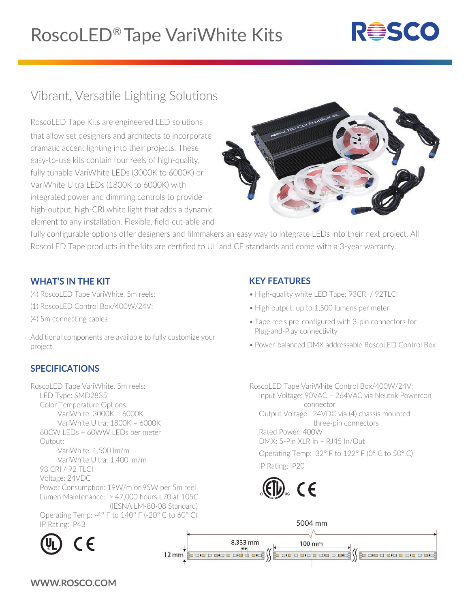# RoscoLED® Tape VariWhite Kits



# Vibrant, Versatile Lighting Solutions

RoscoLED Tape Kits are engineered LED solutions that allow set designers and architects to incorporate dramatic accent lighting into their projects. These easy-to-use kits contain four reels of high-quality, fully tunable VariWhite LEDs (3000K to 6000K) or VariWhite Ultra LEDs (1800K to 6000K) with integrated power and dimming controls to provide high-output, high-CRI white light that adds a dynamic element to any installation. Flexible, field-cut-able and



fully configurable options offer designers and filmmakers an easy way to integrate LEDs into their next project. All RoscoLED Tape products in the kits are certified to UL and CE standards and come with a 3-year warranty.

#### **WHAT'S IN THE KIT**

- (4) RoscoLED Tape VariWhite, 5m reels:
- (1) RoscoLED Control Box/400W/24V:
- (4) 5m connecting cables

Additional components are available to fully customize your project.

## **SPECIFICATIONS**

RoscoLED Tape VariWhite, 5m reels: LED Type: SMD2835 Color Temperature Options: VariWhite: 3000K – 6000K VariWhite Ultra: 1800K – 6000K 60CW LEDs + 60WW LEDs per meter Output: VariWhite: 1,500 lm/m VariWhite Ultra: 1,400 lm/m 93 CRI / 92 TLCI Voltage: 24VDC Power Consumption: 19W/m or 95W per 5m reel Lumen Maintenance: > 47,000 hours L70 at 105C (IESNA LM-80-08 Standard) Operating Temp: -4° F to 140° F (-20° C to 60° C) IP Rating: IP43



#### **KEY FEATURES**

- High-quality white LED Tape: 93CRI / 92TLCI
- High output: up to 1,500 lumens per meter
- Tape reels pre-configured with 3-pin connectors for Plug-and-Play connectivity
- Power-balanced DMX addressable RoscoLED Control Box

RoscoLED Tape VariWhite Control Box/400W/24V: Input Voltage: 90VAC – 264VAC via Neutrik Powercon connector Output Voltage: 24VDC via (4) chassis mounted three-pin connectors Rated Power: 400W DMX: 5-Pin XLR In – RJ45 In/Out Operating Temp: 32° F to 122° F (0° C to 50° C)

IP Rating: IP20





WWW.ROSCO.COM